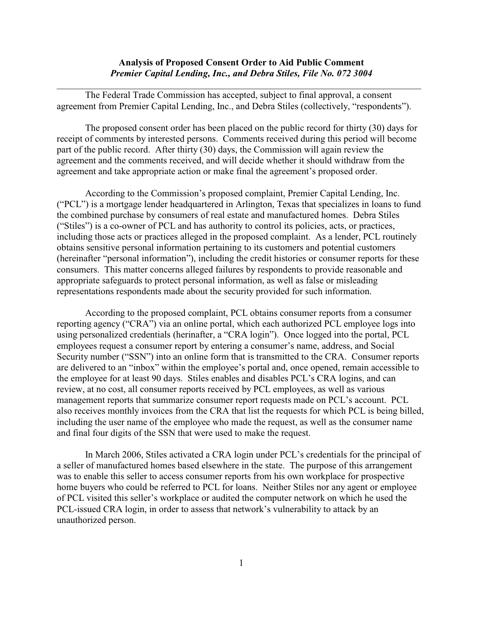## **Analysis of Proposed Consent Order to Aid Public Comment** *Premier Capital Lending, Inc., and Debra Stiles, File No. 072 3004*

The Federal Trade Commission has accepted, subject to final approval, a consent agreement from Premier Capital Lending, Inc., and Debra Stiles (collectively, "respondents").

The proposed consent order has been placed on the public record for thirty (30) days for receipt of comments by interested persons. Comments received during this period will become part of the public record. After thirty (30) days, the Commission will again review the agreement and the comments received, and will decide whether it should withdraw from the agreement and take appropriate action or make final the agreement's proposed order.

According to the Commission's proposed complaint, Premier Capital Lending, Inc. ("PCL") is a mortgage lender headquartered in Arlington, Texas that specializes in loans to fund the combined purchase by consumers of real estate and manufactured homes. Debra Stiles ("Stiles") is a co-owner of PCL and has authority to control its policies, acts, or practices, including those acts or practices alleged in the proposed complaint. As a lender, PCL routinely obtains sensitive personal information pertaining to its customers and potential customers (hereinafter "personal information"), including the credit histories or consumer reports for these consumers. This matter concerns alleged failures by respondents to provide reasonable and appropriate safeguards to protect personal information, as well as false or misleading representations respondents made about the security provided for such information.

According to the proposed complaint, PCL obtains consumer reports from a consumer reporting agency ("CRA") via an online portal, which each authorized PCL employee logs into using personalized credentials (herinafter, a "CRA login"). Once logged into the portal, PCL employees request a consumer report by entering a consumer's name, address, and Social Security number ("SSN") into an online form that is transmitted to the CRA. Consumer reports are delivered to an "inbox" within the employee's portal and, once opened, remain accessible to the employee for at least 90 days. Stiles enables and disables PCL's CRA logins, and can review, at no cost, all consumer reports received by PCL employees, as well as various management reports that summarize consumer report requests made on PCL's account. PCL also receives monthly invoices from the CRA that list the requests for which PCL is being billed, including the user name of the employee who made the request, as well as the consumer name and final four digits of the SSN that were used to make the request.

In March 2006, Stiles activated a CRA login under PCL's credentials for the principal of a seller of manufactured homes based elsewhere in the state. The purpose of this arrangement was to enable this seller to access consumer reports from his own workplace for prospective home buyers who could be referred to PCL for loans. Neither Stiles nor any agent or employee of PCL visited this seller's workplace or audited the computer network on which he used the PCL-issued CRA login, in order to assess that network's vulnerability to attack by an unauthorized person.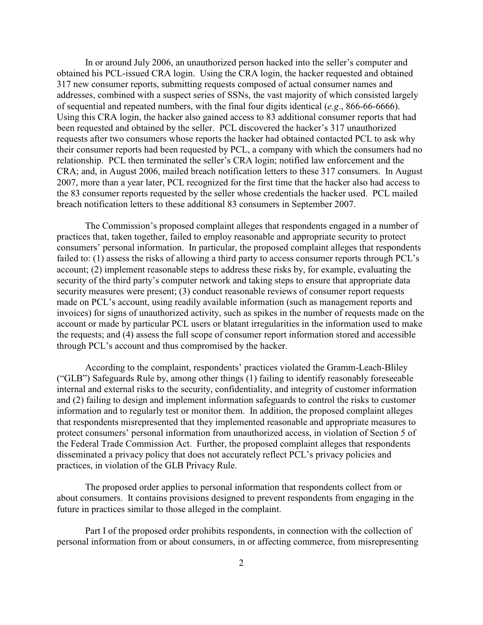In or around July 2006, an unauthorized person hacked into the seller's computer and obtained his PCL-issued CRA login. Using the CRA login, the hacker requested and obtained 317 new consumer reports, submitting requests composed of actual consumer names and addresses, combined with a suspect series of SSNs, the vast majority of which consisted largely of sequential and repeated numbers, with the final four digits identical (*e.g*., 866-66-6666). Using this CRA login, the hacker also gained access to 83 additional consumer reports that had been requested and obtained by the seller. PCL discovered the hacker's 317 unauthorized requests after two consumers whose reports the hacker had obtained contacted PCL to ask why their consumer reports had been requested by PCL, a company with which the consumers had no relationship. PCL then terminated the seller's CRA login; notified law enforcement and the CRA; and, in August 2006, mailed breach notification letters to these 317 consumers. In August 2007, more than a year later, PCL recognized for the first time that the hacker also had access to the 83 consumer reports requested by the seller whose credentials the hacker used. PCL mailed breach notification letters to these additional 83 consumers in September 2007.

The Commission's proposed complaint alleges that respondents engaged in a number of practices that, taken together, failed to employ reasonable and appropriate security to protect consumers' personal information. In particular, the proposed complaint alleges that respondents failed to: (1) assess the risks of allowing a third party to access consumer reports through PCL's account; (2) implement reasonable steps to address these risks by, for example, evaluating the security of the third party's computer network and taking steps to ensure that appropriate data security measures were present; (3) conduct reasonable reviews of consumer report requests made on PCL's account, using readily available information (such as management reports and invoices) for signs of unauthorized activity, such as spikes in the number of requests made on the account or made by particular PCL users or blatant irregularities in the information used to make the requests; and (4) assess the full scope of consumer report information stored and accessible through PCL's account and thus compromised by the hacker.

According to the complaint, respondents' practices violated the Gramm-Leach-Bliley ("GLB") Safeguards Rule by, among other things (1) failing to identify reasonably foreseeable internal and external risks to the security, confidentiality, and integrity of customer information and (2) failing to design and implement information safeguards to control the risks to customer information and to regularly test or monitor them. In addition, the proposed complaint alleges that respondents misrepresented that they implemented reasonable and appropriate measures to protect consumers' personal information from unauthorized access, in violation of Section 5 of the Federal Trade Commission Act. Further, the proposed complaint alleges that respondents disseminated a privacy policy that does not accurately reflect PCL's privacy policies and practices, in violation of the GLB Privacy Rule.

The proposed order applies to personal information that respondents collect from or about consumers. It contains provisions designed to prevent respondents from engaging in the future in practices similar to those alleged in the complaint.

Part I of the proposed order prohibits respondents, in connection with the collection of personal information from or about consumers, in or affecting commerce, from misrepresenting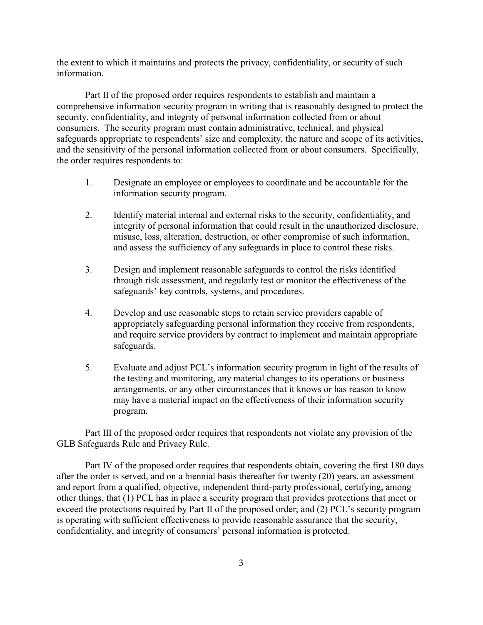the extent to which it maintains and protects the privacy, confidentiality, or security of such information.

Part II of the proposed order requires respondents to establish and maintain a comprehensive information security program in writing that is reasonably designed to protect the security, confidentiality, and integrity of personal information collected from or about consumers. The security program must contain administrative, technical, and physical safeguards appropriate to respondents' size and complexity, the nature and scope of its activities, and the sensitivity of the personal information collected from or about consumers. Specifically, the order requires respondents to:

- 1. Designate an employee or employees to coordinate and be accountable for the information security program.
- 2. Identify material internal and external risks to the security, confidentiality, and integrity of personal information that could result in the unauthorized disclosure, misuse, loss, alteration, destruction, or other compromise of such information, and assess the sufficiency of any safeguards in place to control these risks.
- 3. Design and implement reasonable safeguards to control the risks identified through risk assessment, and regularly test or monitor the effectiveness of the safeguards' key controls, systems, and procedures.
- 4. Develop and use reasonable steps to retain service providers capable of appropriately safeguarding personal information they receive from respondents, and require service providers by contract to implement and maintain appropriate safeguards.
- 5. Evaluate and adjust PCL's information security program in light of the results of the testing and monitoring, any material changes to its operations or business arrangements, or any other circumstances that it knows or has reason to know may have a material impact on the effectiveness of their information security program.

Part III of the proposed order requires that respondents not violate any provision of the GLB Safeguards Rule and Privacy Rule.

Part IV of the proposed order requires that respondents obtain, covering the first 180 days after the order is served, and on a biennial basis thereafter for twenty (20) years, an assessment and report from a qualified, objective, independent third-party professional, certifying, among other things, that (1) PCL has in place a security program that provides protections that meet or exceed the protections required by Part II of the proposed order; and (2) PCL's security program is operating with sufficient effectiveness to provide reasonable assurance that the security, confidentiality, and integrity of consumers' personal information is protected.